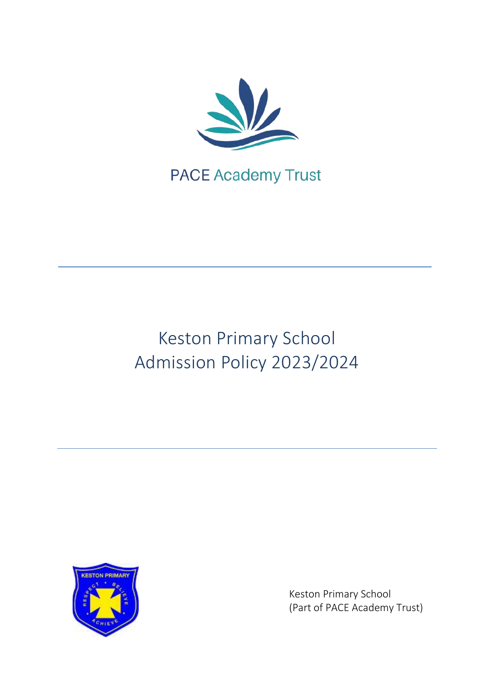

# Keston Primary School Admission Policy 2023/2024



Keston Primary School (Part of PACE Academy Trust)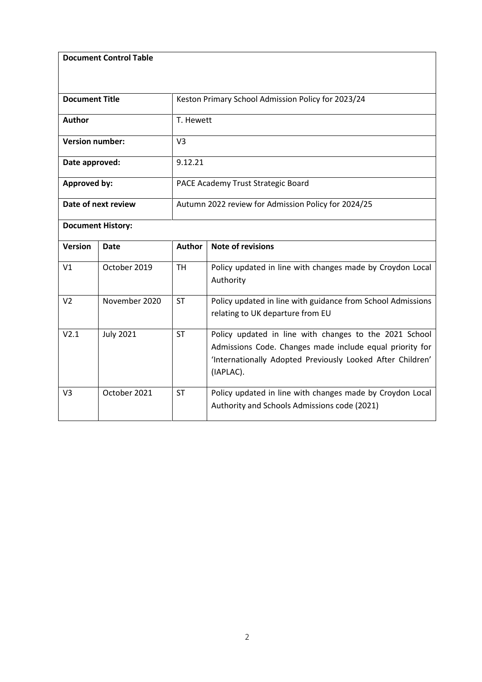**Document Control Table**

| <b>Document Title</b>    |                  | Keston Primary School Admission Policy for 2023/24  |                                                                                                                                                                                               |  |
|--------------------------|------------------|-----------------------------------------------------|-----------------------------------------------------------------------------------------------------------------------------------------------------------------------------------------------|--|
| Author                   |                  | T. Hewett                                           |                                                                                                                                                                                               |  |
| <b>Version number:</b>   |                  | V <sub>3</sub>                                      |                                                                                                                                                                                               |  |
| Date approved:           |                  | 9.12.21                                             |                                                                                                                                                                                               |  |
| Approved by:             |                  | PACE Academy Trust Strategic Board                  |                                                                                                                                                                                               |  |
| Date of next review      |                  | Autumn 2022 review for Admission Policy for 2024/25 |                                                                                                                                                                                               |  |
| <b>Document History:</b> |                  |                                                     |                                                                                                                                                                                               |  |
| <b>Version</b>           | Date             | <b>Author</b>                                       | <b>Note of revisions</b>                                                                                                                                                                      |  |
| V <sub>1</sub>           | October 2019     | <b>TH</b>                                           | Policy updated in line with changes made by Croydon Local<br>Authority                                                                                                                        |  |
| V <sub>2</sub>           | November 2020    | <b>ST</b>                                           | Policy updated in line with guidance from School Admissions<br>relating to UK departure from EU                                                                                               |  |
| V2.1                     | <b>July 2021</b> | <b>ST</b>                                           | Policy updated in line with changes to the 2021 School<br>Admissions Code. Changes made include equal priority for<br>'Internationally Adopted Previously Looked After Children'<br>(IAPLAC). |  |
| V <sub>3</sub>           | October 2021     | <b>ST</b>                                           | Policy updated in line with changes made by Croydon Local<br>Authority and Schools Admissions code (2021)                                                                                     |  |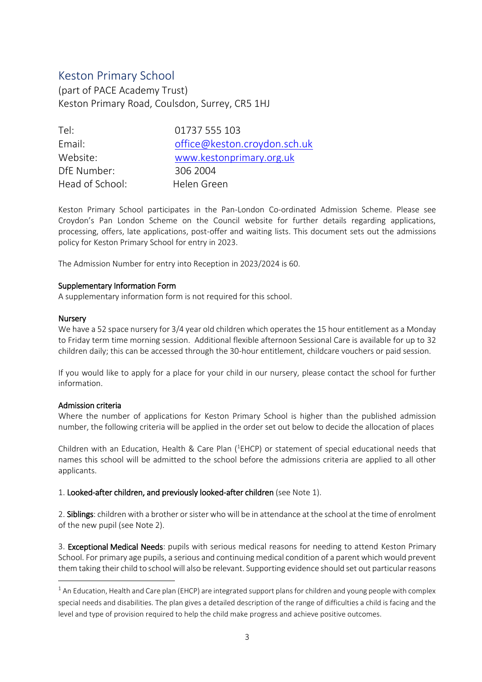# Keston Primary School

(part of PACE Academy Trust) Keston Primary Road, Coulsdon, Surrey, CR5 1HJ

| Tel:            | 01737 555 103                |
|-----------------|------------------------------|
| Email:          | office@keston.croydon.sch.uk |
| Website:        | www.kestonprimary.org.uk     |
| DfE Number:     | 306 2004                     |
| Head of School: | Helen Green                  |

Keston Primary School participates in the Pan-London Co-ordinated Admission Scheme. Please see Croydon's Pan London Scheme on the Council website for further details regarding applications, processing, offers, late applications, post-offer and waiting lists. This document sets out the admissions policy for Keston Primary School for entry in 2023.

The Admission Number for entry into Reception in 2023/2024 is 60.

# Supplementary Information Form

A supplementary information form is not required for this school.

# **Nursery**

**.** 

We have a 52 space nursery for 3/4 year old children which operates the 15 hour entitlement as a Monday to Friday term time morning session. Additional flexible afternoon Sessional Care is available for up to 32 children daily; this can be accessed through the 30-hour entitlement, childcare vouchers or paid session.

If you would like to apply for a place for your child in our nursery, please contact the school for further information.

# Admission criteria

Where the number of applications for Keston Primary School is higher than the published admission number, the following criteria will be applied in the order set out below to decide the allocation of places

Children with an Education, Health & Care Plan ( ${}^{1}$ EHCP) or statement of special educational needs that names this school will be admitted to the school before the admissions criteria are applied to all other applicants.

# 1. Looked-after children, and previously looked-after children (see Note 1).

2. Siblings: children with a brother or sister who will be in attendance at the school at the time of enrolment of the new pupil (see Note 2).

3. Exceptional Medical Needs: pupils with serious medical reasons for needing to attend Keston Primary School. For primary age pupils, a serious and continuing medical condition of a parent which would prevent them taking their child to school will also be relevant. Supporting evidence should set out particular reasons

 $1$  An Education, Health and Care plan (EHCP) are integrated support plans for children and young people with complex special needs and disabilities. The plan gives a detailed description of the range of difficulties a child is facing and the level and type of provision required to help the child make progress and achieve positive outcomes.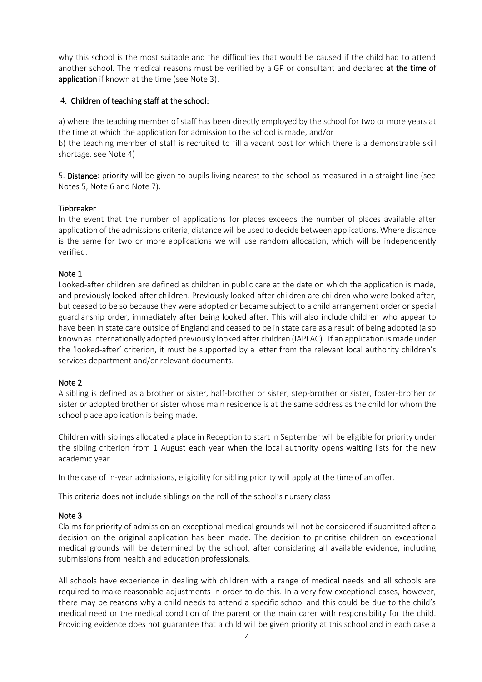why this school is the most suitable and the difficulties that would be caused if the child had to attend another school. The medical reasons must be verified by a GP or consultant and declared at the time of application if known at the time (see Note 3).

# 4. Children of teaching staff at the school:

a) where the teaching member of staff has been directly employed by the school for two or more years at the time at which the application for admission to the school is made, and/or

b) the teaching member of staff is recruited to fill a vacant post for which there is a demonstrable skill shortage. see Note 4)

5. Distance: priority will be given to pupils living nearest to the school as measured in a straight line (see Notes 5, Note 6 and Note 7).

# Tiebreaker

In the event that the number of applications for places exceeds the number of places available after application of the admissions criteria, distance will be used to decide between applications. Where distance is the same for two or more applications we will use random allocation, which will be independently verified.

# Note 1

Looked-after children are defined as children in public care at the date on which the application is made, and previously looked-after children. Previously looked-after children are children who were looked after, but ceased to be so because they were adopted or became subject to a child arrangement order or special guardianship order, immediately after being looked after. This will also include children who appear to have been in state care outside of England and ceased to be in state care as a result of being adopted (also known as internationally adopted previously looked after children (IAPLAC). If an application is made under the 'looked-after' criterion, it must be supported by a letter from the relevant local authority children's services department and/or relevant documents.

# Note 2

A sibling is defined as a brother or sister, half-brother or sister, step-brother or sister, foster-brother or sister or adopted brother or sister whose main residence is at the same address as the child for whom the school place application is being made.

Children with siblings allocated a place in Reception to start in September will be eligible for priority under the sibling criterion from 1 August each year when the local authority opens waiting lists for the new academic year.

In the case of in-year admissions, eligibility for sibling priority will apply at the time of an offer.

This criteria does not include siblings on the roll of the school's nursery class

# Note 3

Claims for priority of admission on exceptional medical grounds will not be considered if submitted after a decision on the original application has been made. The decision to prioritise children on exceptional medical grounds will be determined by the school, after considering all available evidence, including submissions from health and education professionals.

All schools have experience in dealing with children with a range of medical needs and all schools are required to make reasonable adjustments in order to do this. In a very few exceptional cases, however, there may be reasons why a child needs to attend a specific school and this could be due to the child's medical need or the medical condition of the parent or the main carer with responsibility for the child. Providing evidence does not guarantee that a child will be given priority at this school and in each case a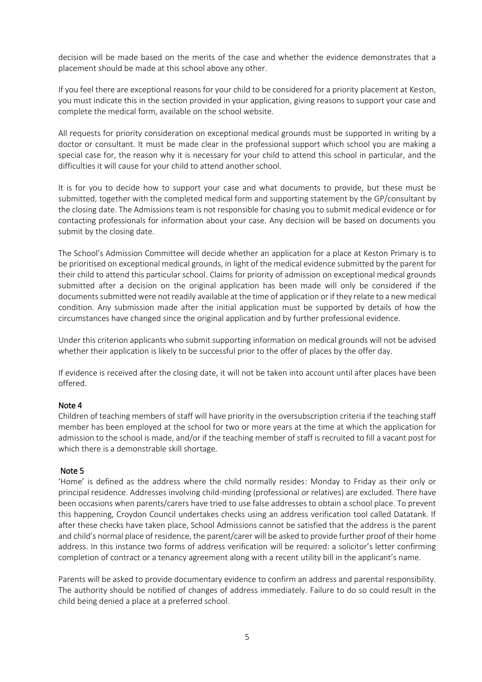decision will be made based on the merits of the case and whether the evidence demonstrates that a placement should be made at this school above any other.

If you feel there are exceptional reasons for your child to be considered for a priority placement at Keston, you must indicate this in the section provided in your application, giving reasons to support your case and complete the medical form, available on the school website.

All requests for priority consideration on exceptional medical grounds must be supported in writing by a doctor or consultant. It must be made clear in the professional support which school you are making a special case for, the reason why it is necessary for your child to attend this school in particular, and the difficulties it will cause for your child to attend another school.

It is for you to decide how to support your case and what documents to provide, but these must be submitted, together with the completed medical form and supporting statement by the GP/consultant by the closing date. The Admissions team is not responsible for chasing you to submit medical evidence or for contacting professionals for information about your case. Any decision will be based on documents you submit by the closing date.

The School's Admission Committee will decide whether an application for a place at Keston Primary is to be prioritised on exceptional medical grounds, in light of the medical evidence submitted by the parent for their child to attend this particular school. Claims for priority of admission on exceptional medical grounds submitted after a decision on the original application has been made will only be considered if the documents submitted were not readily available at the time of application or if they relate to a new medical condition. Any submission made after the initial application must be supported by details of how the circumstances have changed since the original application and by further professional evidence.

Under this criterion applicants who submit supporting information on medical grounds will not be advised whether their application is likely to be successful prior to the offer of places by the offer day.

If evidence is received after the closing date, it will not be taken into account until after places have been offered.

# Note 4

Children of teaching members of staff will have priority in the oversubscription criteria if the teaching staff member has been employed at the school for two or more years at the time at which the application for admission to the school is made, and/or if the teaching member of staff is recruited to fill a vacant post for which there is a demonstrable skill shortage.

# Note 5

'Home' is defined as the address where the child normally resides: Monday to Friday as their only or principal residence. Addresses involving child-minding (professional or relatives) are excluded. There have been occasions when parents/carers have tried to use false addresses to obtain a school place. To prevent this happening, Croydon Council undertakes checks using an address verification tool called Datatank. If after these checks have taken place, School Admissions cannot be satisfied that the address is the parent and child's normal place of residence, the parent/carer will be asked to provide further proof of their home address. In this instance two forms of address verification will be required: a solicitor's letter confirming completion of contract or a tenancy agreement along with a recent utility bill in the applicant's name.

Parents will be asked to provide documentary evidence to confirm an address and parental responsibility. The authority should be notified of changes of address immediately. Failure to do so could result in the child being denied a place at a preferred school.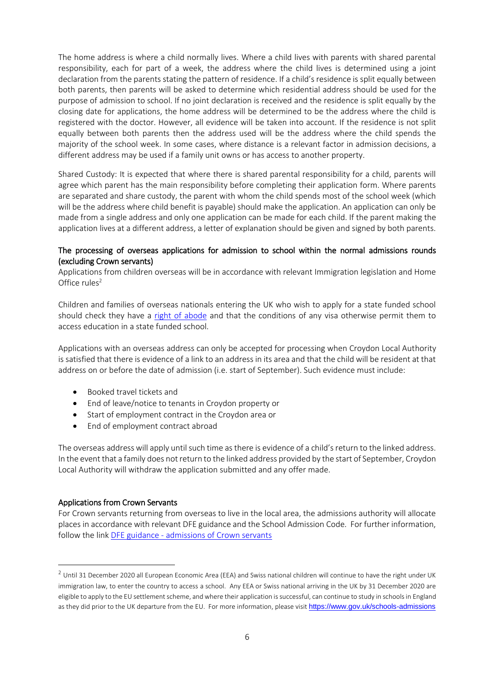The home address is where a child normally lives. Where a child lives with parents with shared parental responsibility, each for part of a week, the address where the child lives is determined using a joint declaration from the parents stating the pattern of residence. If a child's residence is split equally between both parents, then parents will be asked to determine which residential address should be used for the purpose of admission to school. If no joint declaration is received and the residence is split equally by the closing date for applications, the home address will be determined to be the address where the child is registered with the doctor. However, all evidence will be taken into account. If the residence is not split equally between both parents then the address used will be the address where the child spends the majority of the school week. In some cases, where distance is a relevant factor in admission decisions, a different address may be used if a family unit owns or has access to another property.

Shared Custody: It is expected that where there is shared parental responsibility for a child, parents will agree which parent has the main responsibility before completing their application form. Where parents are separated and share custody, the parent with whom the child spends most of the school week (which will be the address where child benefit is payable) should make the application. An application can only be made from a single address and only one application can be made for each child. If the parent making the application lives at a different address, a letter of explanation should be given and signed by both parents.

# The processing of overseas applications for admission to school within the normal admissions rounds (excluding Crown servants)

Applications from children overseas will be in accordance with relevant Immigration legislation and Home Office rules $2$ 

Children and families of overseas nationals entering the UK who wish to apply for a state funded school should check they have a [right of abode](https://www.gov.uk/right-of-abode) and that the conditions of any visa otherwise permit them to access education in a state funded school.

Applications with an overseas address can only be accepted for processing when Croydon Local Authority is satisfied that there is evidence of a link to an address in its area and that the child will be resident at that address on or before the date of admission (i.e. start of September). Such evidence must include:

- Booked travel tickets and
- End of leave/notice to tenants in Croydon property or
- Start of employment contract in the Croydon area or
- End of employment contract abroad

The overseas address will apply until such time as there is evidence of a child's return to the linked address. In the event that a family does not return to the linked address provided by the start of September, Croydon Local Authority will withdraw the application submitted and any offer made.

# Applications from Crown Servants

**.** 

For Crown servants returning from overseas to live in the local area, the admissions authority will allocate places in accordance with relevant DFE guidance and the School Admission Code. For further information, follow the link DFE guidance - [admissions of Crown servants](https://assets.publishing.service.gov.uk/government/uploads/system/uploads/attachment_data/file/461481/Admission_of_children_of_crown_servants.pdf) 

 $2$  Until 31 December 2020 all European Economic Area (EEA) and Swiss national children will continue to have the right under UK immigration law, to enter the country to access a school. Any EEA or Swiss national arriving in the UK by 31 December 2020 are eligible to apply to the EU settlement scheme, and where their application is successful, can continue to study in schools in England as they did prior to the UK departure from the EU. For more information, please visit <https://www.gov.uk/schools-admissions>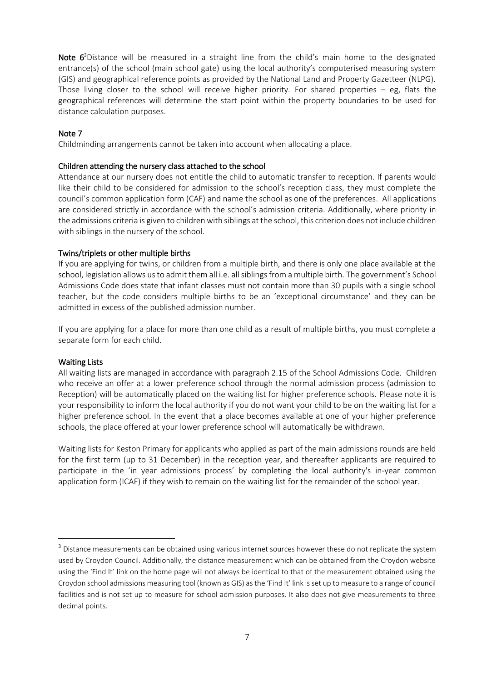Note  $6<sup>3</sup>$  Distance will be measured in a straight line from the child's main home to the designated entrance(s) of the school (main school gate) using the local authority's computerised measuring system (GIS) and geographical reference points as provided by the National Land and Property Gazetteer (NLPG). Those living closer to the school will receive higher priority. For shared properties – eg, flats the geographical references will determine the start point within the property boundaries to be used for distance calculation purposes.

# Note 7

Childminding arrangements cannot be taken into account when allocating a place.

#### Children attending the nursery class attached to the school

Attendance at our nursery does not entitle the child to automatic transfer to reception. If parents would like their child to be considered for admission to the school's reception class, they must complete the council's common application form (CAF) and name the school as one of the preferences. All applications are considered strictly in accordance with the school's admission criteria. Additionally, where priority in the admissions criteria is given to children with siblings at the school, this criterion does not include children with siblings in the nursery of the school.

#### Twins/triplets or other multiple births

If you are applying for twins, or children from a multiple birth, and there is only one place available at the school, legislation allows us to admit them all i.e. all siblings from a multiple birth. The government's School Admissions Code does state that infant classes must not contain more than 30 pupils with a single school teacher, but the code considers multiple births to be an 'exceptional circumstance' and they can be admitted in excess of the published admission number.

If you are applying for a place for more than one child as a result of multiple births, you must complete a separate form for each child.

#### Waiting Lists

**.** 

All waiting lists are managed in accordance with paragraph 2.15 of the School Admissions Code. Children who receive an offer at a lower preference school through the normal admission process (admission to Reception) will be automatically placed on the waiting list for higher preference schools. Please note it is your responsibility to inform the local authority if you do not want your child to be on the waiting list for a higher preference school. In the event that a place becomes available at one of your higher preference schools, the place offered at your lower preference school will automatically be withdrawn.

Waiting lists for Keston Primary for applicants who applied as part of the main admissions rounds are held for the first term (up to 31 December) in the reception year, and thereafter applicants are required to participate in the 'in year admissions process' by completing the local authority's in-year common application form (ICAF) if they wish to remain on the waiting list for the remainder of the school year.

<sup>&</sup>lt;sup>3</sup> Distance measurements can be obtained using various internet sources however these do not replicate the system used by Croydon Council. Additionally, the distance measurement which can be obtained from the Croydon website using the 'Find It' link on the home page will not always be identical to that of the measurement obtained using the Croydon school admissions measuring tool (known as GIS) as the 'Find It' link is set up to measure to a range of council facilities and is not set up to measure for school admission purposes. It also does not give measurements to three decimal points.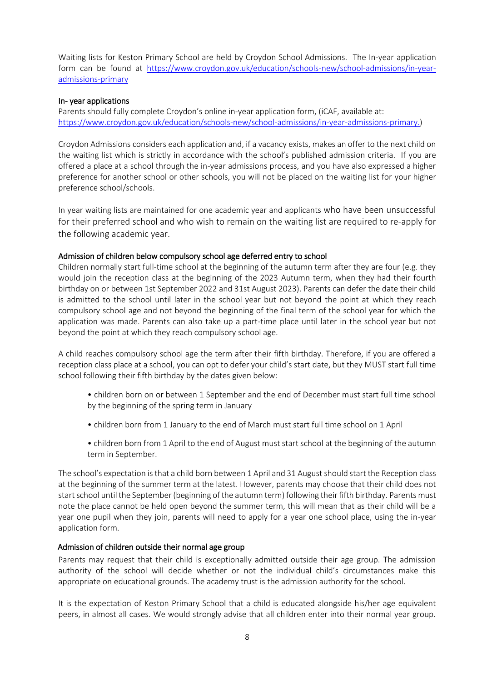Waiting lists for Keston Primary School are held by Croydon School Admissions. The In-year application form can be found at [https://www.croydon.gov.uk/education/schools-new/school-admissions/in-year](https://www.croydon.gov.uk/education/schools-new/school-admissions/in-year-admissions-primary)[admissions-primary](https://www.croydon.gov.uk/education/schools-new/school-admissions/in-year-admissions-primary)

# In- year applications

Parents should fully complete Croydon's online in-year application form, (iCAF, available at: [https://www.croydon.gov.uk/education/schools-new/school-admissions/in-year-admissions-primary.](https://www.croydon.gov.uk/education/schools-new/school-admissions/in-year-admissions-primary))

Croydon Admissions considers each application and, if a vacancy exists, makes an offer to the next child on the waiting list which is strictly in accordance with the school's published admission criteria. If you are offered a place at a school through the in-year admissions process, and you have also expressed a higher preference for another school or other schools, you will not be placed on the waiting list for your higher preference school/schools.

In year waiting lists are maintained for one academic year and applicants who have been unsuccessful for their preferred school and who wish to remain on the waiting list are required to re-apply for the following academic year.

# Admission of children below compulsory school age deferred entry to school

Children normally start full-time school at the beginning of the autumn term after they are four (e.g. they would join the reception class at the beginning of the 2023 Autumn term, when they had their fourth birthday on or between 1st September 2022 and 31st August 2023). Parents can defer the date their child is admitted to the school until later in the school year but not beyond the point at which they reach compulsory school age and not beyond the beginning of the final term of the school year for which the application was made. Parents can also take up a part-time place until later in the school year but not beyond the point at which they reach compulsory school age.

A child reaches compulsory school age the term after their fifth birthday. Therefore, if you are offered a reception class place at a school, you can opt to defer your child's start date, but they MUST start full time school following their fifth birthday by the dates given below:

- children born on or between 1 September and the end of December must start full time school by the beginning of the spring term in January
- children born from 1 January to the end of March must start full time school on 1 April
- children born from 1 April to the end of August must start school at the beginning of the autumn term in September.

The school's expectation is that a child born between 1 April and 31 August should start the Reception class at the beginning of the summer term at the latest. However, parents may choose that their child does not start school until the September (beginning of the autumn term) following their fifth birthday. Parents must note the place cannot be held open beyond the summer term, this will mean that as their child will be a year one pupil when they join, parents will need to apply for a year one school place, using the in-year application form.

# Admission of children outside their normal age group

Parents may request that their child is exceptionally admitted outside their age group. The admission authority of the school will decide whether or not the individual child's circumstances make this appropriate on educational grounds. The academy trust is the admission authority for the school.

It is the expectation of Keston Primary School that a child is educated alongside his/her age equivalent peers, in almost all cases. We would strongly advise that all children enter into their normal year group.